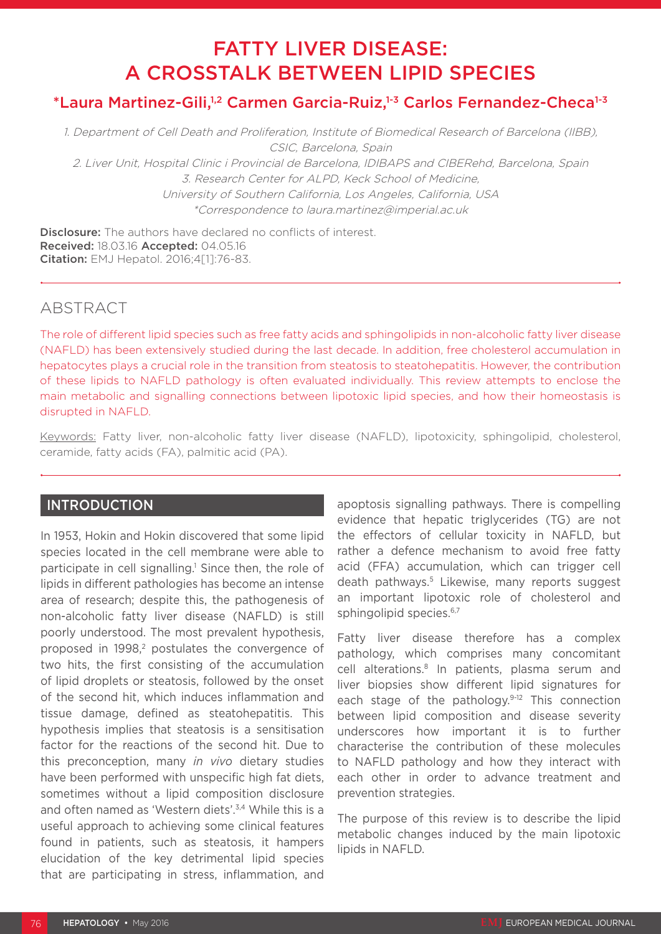# FATTY LIVER DISEASE: A CROSSTALK BETWEEN LIPID SPECIES

# \*Laura Martinez-Gili,<sup>1,2</sup> Carmen Garcia-Ruiz,<sup>1-3</sup> Carlos Fernandez-Checa<sup>1-3</sup>

1. Department of Cell Death and Proliferation, Institute of Biomedical Research of Barcelona (IIBB), CSIC, Barcelona, Spain 2. Liver Unit, Hospital Clinic i Provincial de Barcelona, IDIBAPS and CIBERehd, Barcelona, Spain 3. Research Center for ALPD, Keck School of Medicine, University of Southern California, Los Angeles, California, USA \*Correspondence to laura.martinez@imperial.ac.uk

**Disclosure:** The authors have declared no conflicts of interest. Received: 18.03.16 Accepted: 04.05.16 Citation: EMJ Hepatol. 2016;4[1]:76-83.

# ABSTRACT

The role of different lipid species such as free fatty acids and sphingolipids in non-alcoholic fatty liver disease (NAFLD) has been extensively studied during the last decade. In addition, free cholesterol accumulation in hepatocytes plays a crucial role in the transition from steatosis to steatohepatitis. However, the contribution of these lipids to NAFLD pathology is often evaluated individually. This review attempts to enclose the main metabolic and signalling connections between lipotoxic lipid species, and how their homeostasis is disrupted in NAFLD.

Keywords: Fatty liver, non-alcoholic fatty liver disease (NAFLD), lipotoxicity, sphingolipid, cholesterol, ceramide, fatty acids (FA), palmitic acid (PA).

# INTRODUCTION

In 1953, Hokin and Hokin discovered that some lipid species located in the cell membrane were able to participate in cell signalling.<sup>1</sup> Since then, the role of lipids in different pathologies has become an intense area of research; despite this, the pathogenesis of non-alcoholic fatty liver disease (NAFLD) is still poorly understood. The most prevalent hypothesis, proposed in 1998,<sup>2</sup> postulates the convergence of two hits, the first consisting of the accumulation of lipid droplets or steatosis, followed by the onset of the second hit, which induces inflammation and tissue damage, defined as steatohepatitis. This hypothesis implies that steatosis is a sensitisation factor for the reactions of the second hit. Due to this preconception, many *in vivo* dietary studies have been performed with unspecific high fat diets, sometimes without a lipid composition disclosure and often named as 'Western diets'.3,4 While this is a useful approach to achieving some clinical features found in patients, such as steatosis, it hampers elucidation of the key detrimental lipid species that are participating in stress, inflammation, and

apoptosis signalling pathways. There is compelling evidence that hepatic triglycerides (TG) are not the effectors of cellular toxicity in NAFLD, but rather a defence mechanism to avoid free fatty acid (FFA) accumulation, which can trigger cell death pathways.5 Likewise, many reports suggest an important lipotoxic role of cholesterol and sphingolipid species.<sup>6,7</sup>

Fatty liver disease therefore has a complex pathology, which comprises many concomitant cell alterations.8 In patients, plasma serum and liver biopsies show different lipid signatures for each stage of the pathology.<sup>9-12</sup> This connection between lipid composition and disease severity underscores how important it is to further characterise the contribution of these molecules to NAFLD pathology and how they interact with each other in order to advance treatment and prevention strategies.

The purpose of this review is to describe the lipid metabolic changes induced by the main lipotoxic lipids in NAFLD.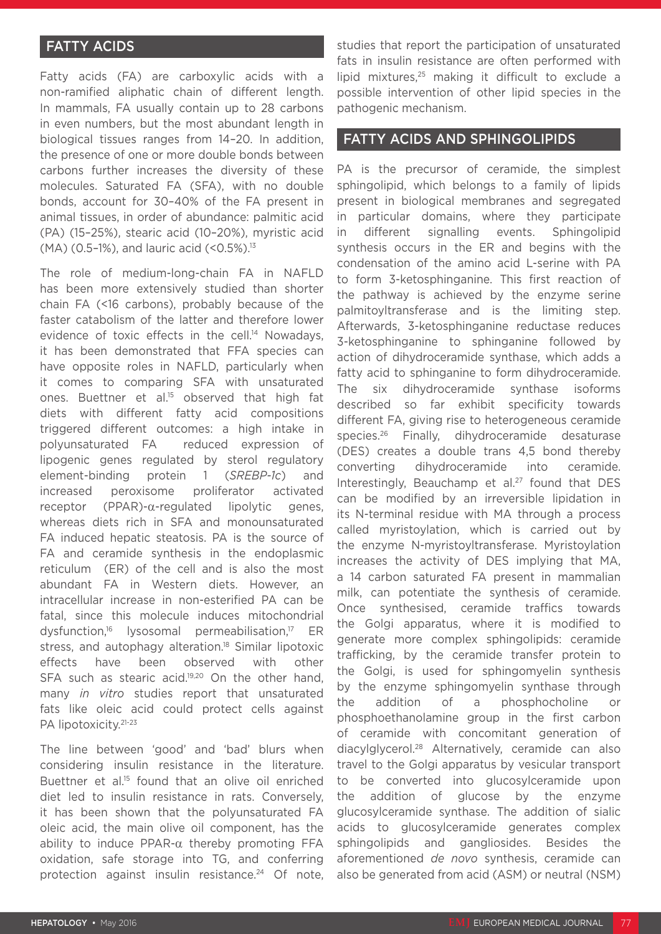# **FATTY ACIDS**

Fatty acids (FA) are carboxylic acids with a non-ramified aliphatic chain of different length. In mammals, FA usually contain up to 28 carbons in even numbers, but the most abundant length in biological tissues ranges from 14–20. In addition, the presence of one or more double bonds between carbons further increases the diversity of these molecules. Saturated FA (SFA), with no double bonds, account for 30–40% of the FA present in animal tissues, in order of abundance: palmitic acid (PA) (15–25%), stearic acid (10–20%), myristic acid (MA) (0.5-1%), and lauric acid (<0.5%).<sup>13</sup>

The role of medium-long-chain FA in NAFLD has been more extensively studied than shorter chain FA (<16 carbons), probably because of the faster catabolism of the latter and therefore lower evidence of toxic effects in the cell.<sup>14</sup> Nowadays, it has been demonstrated that FFA species can have opposite roles in NAFLD, particularly when it comes to comparing SFA with unsaturated ones. Buettner et al.15 observed that high fat diets with different fatty acid compositions triggered different outcomes: a high intake in polyunsaturated FA reduced expression of lipogenic genes regulated by sterol regulatory element-binding protein 1 (*SREBP-1c*) and increased peroxisome proliferator activated receptor (PPAR)-α-regulated lipolytic genes, whereas diets rich in SFA and monounsaturated FA induced hepatic steatosis. PA is the source of FA and ceramide synthesis in the endoplasmic reticulum (ER) of the cell and is also the most abundant FA in Western diets. However, an intracellular increase in non-esterified PA can be fatal, since this molecule induces mitochondrial dysfunction,16 lysosomal permeabilisation,17 ER stress, and autophagy alteration.<sup>18</sup> Similar lipotoxic effects have been observed with other SFA such as stearic acid.<sup>19,20</sup> On the other hand, many *in vitro* studies report that unsaturated fats like oleic acid could protect cells against PA lipotoxicity.<sup>21-23</sup>

The line between 'good' and 'bad' blurs when considering insulin resistance in the literature. Buettner et al.<sup>15</sup> found that an olive oil enriched diet led to insulin resistance in rats. Conversely, it has been shown that the polyunsaturated FA oleic acid, the main olive oil component, has the ability to induce PPAR- $\alpha$  thereby promoting FFA oxidation, safe storage into TG, and conferring protection against insulin resistance.<sup>24</sup> Of note, studies that report the participation of unsaturated fats in insulin resistance are often performed with lipid mixtures, $25$  making it difficult to exclude a possible intervention of other lipid species in the pathogenic mechanism.

## FATTY ACIDS AND SPHINGOLIPIDS

PA is the precursor of ceramide, the simplest sphingolipid, which belongs to a family of lipids present in biological membranes and segregated in particular domains, where they participate in different signalling events. Sphingolipid synthesis occurs in the ER and begins with the condensation of the amino acid L-serine with PA to form 3-ketosphinganine. This first reaction of the pathway is achieved by the enzyme serine palmitoyltransferase and is the limiting step. Afterwards, 3-ketosphinganine reductase reduces 3-ketosphinganine to sphinganine followed by action of dihydroceramide synthase, which adds a fatty acid to sphinganine to form dihydroceramide. The six dihydroceramide synthase isoforms described so far exhibit specificity towards different FA, giving rise to heterogeneous ceramide species.26 Finally, dihydroceramide desaturase (DES) creates a double trans 4,5 bond thereby converting dihydroceramide into ceramide. Interestingly, Beauchamp et al. $27$  found that DES can be modified by an irreversible lipidation in its N-terminal residue with MA through a process called myristoylation, which is carried out by the enzyme N-myristoyltransferase. Myristoylation increases the activity of DES implying that MA, a 14 carbon saturated FA present in mammalian milk, can potentiate the synthesis of ceramide. Once synthesised, ceramide traffics towards the Golgi apparatus, where it is modified to generate more complex sphingolipids: ceramide trafficking, by the ceramide transfer protein to the Golgi, is used for sphingomyelin synthesis by the enzyme sphingomyelin synthase through the addition of a phosphocholine or phosphoethanolamine group in the first carbon of ceramide with concomitant generation of diacylglycerol.28 Alternatively, ceramide can also travel to the Golgi apparatus by vesicular transport to be converted into glucosylceramide upon the addition of glucose by the enzyme glucosylceramide synthase. The addition of sialic acids to glucosylceramide generates complex sphingolipids and gangliosides. Besides the aforementioned *de novo* synthesis, ceramide can also be generated from acid (ASM) or neutral (NSM)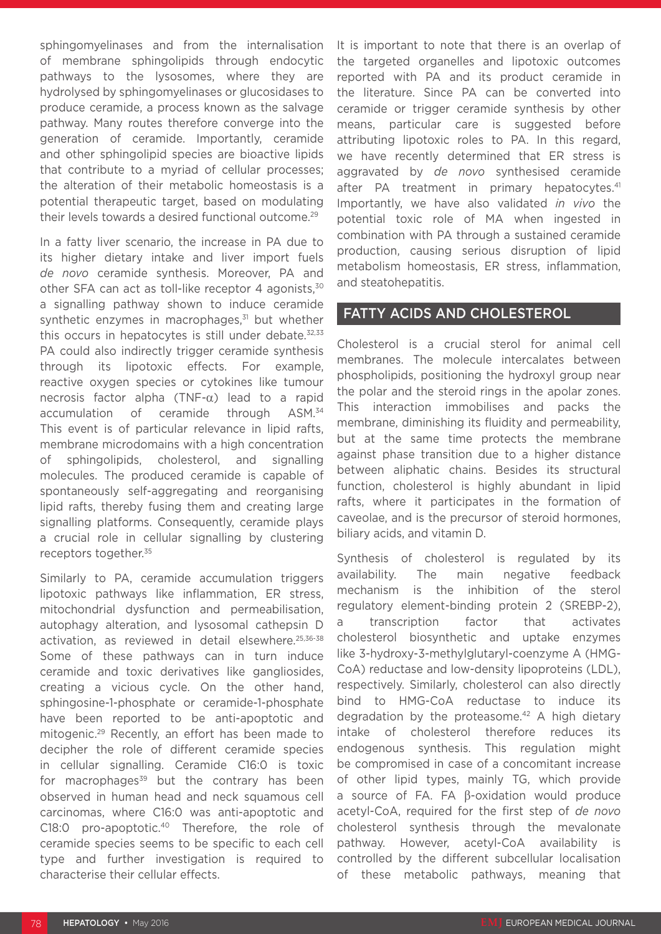sphingomyelinases and from the internalisation of membrane sphingolipids through endocytic pathways to the lysosomes, where they are hydrolysed by sphingomyelinases or glucosidases to produce ceramide, a process known as the salvage pathway. Many routes therefore converge into the generation of ceramide. Importantly, ceramide and other sphingolipid species are bioactive lipids that contribute to a myriad of cellular processes; the alteration of their metabolic homeostasis is a potential therapeutic target, based on modulating their levels towards a desired functional outcome.29

In a fatty liver scenario, the increase in PA due to its higher dietary intake and liver import fuels *de novo* ceramide synthesis. Moreover, PA and other SFA can act as toll-like receptor 4 agonists,<sup>30</sup> a signalling pathway shown to induce ceramide synthetic enzymes in macrophages, $31$  but whether this occurs in hepatocytes is still under debate. $32,33$ PA could also indirectly trigger ceramide synthesis through its lipotoxic effects. For example, reactive oxygen species or cytokines like tumour necrosis factor alpha (TNF-α) lead to a rapid accumulation of ceramide through ASM.34 This event is of particular relevance in lipid rafts, membrane microdomains with a high concentration of sphingolipids, cholesterol, and signalling molecules. The produced ceramide is capable of spontaneously self-aggregating and reorganising lipid rafts, thereby fusing them and creating large signalling platforms. Consequently, ceramide plays a crucial role in cellular signalling by clustering receptors together.<sup>35</sup>

Similarly to PA, ceramide accumulation triggers lipotoxic pathways like inflammation, ER stress, mitochondrial dysfunction and permeabilisation, autophagy alteration, and lysosomal cathepsin D activation, as reviewed in detail elsewhere.25,36-38 Some of these pathways can in turn induce ceramide and toxic derivatives like gangliosides, creating a vicious cycle. On the other hand, sphingosine-1-phosphate or ceramide-1-phosphate have been reported to be anti-apoptotic and mitogenic.29 Recently, an effort has been made to decipher the role of different ceramide species in cellular signalling. Ceramide C16:0 is toxic for macrophages $39$  but the contrary has been observed in human head and neck squamous cell carcinomas, where C16:0 was anti-apoptotic and C18:0 pro-apoptotic.40 Therefore, the role of ceramide species seems to be specific to each cell type and further investigation is required to characterise their cellular effects.

It is important to note that there is an overlap of the targeted organelles and lipotoxic outcomes reported with PA and its product ceramide in the literature. Since PA can be converted into ceramide or trigger ceramide synthesis by other means, particular care is suggested before attributing lipotoxic roles to PA. In this regard, we have recently determined that ER stress is aggravated by *de novo* synthesised ceramide after PA treatment in primary hepatocytes.<sup>41</sup> Importantly, we have also validated *in vivo* the potential toxic role of MA when ingested in combination with PA through a sustained ceramide production, causing serious disruption of lipid metabolism homeostasis, ER stress, inflammation, and steatohepatitis.

## FATTY ACIDS AND CHOLESTEROL

Cholesterol is a crucial sterol for animal cell membranes. The molecule intercalates between phospholipids, positioning the hydroxyl group near the polar and the steroid rings in the apolar zones. This interaction immobilises and packs the membrane, diminishing its fluidity and permeability, but at the same time protects the membrane against phase transition due to a higher distance between aliphatic chains. Besides its structural function, cholesterol is highly abundant in lipid rafts, where it participates in the formation of caveolae, and is the precursor of steroid hormones, biliary acids, and vitamin D.

Synthesis of cholesterol is regulated by its availability. The main negative feedback mechanism is the inhibition of the sterol regulatory element-binding protein 2 (SREBP-2), a transcription factor that activates cholesterol biosynthetic and uptake enzymes like 3-hydroxy-3-methylglutaryl-coenzyme A (HMG-CoA) reductase and low-density lipoproteins (LDL), respectively. Similarly, cholesterol can also directly bind to HMG-CoA reductase to induce its degradation by the proteasome.<sup>42</sup> A high dietary intake of cholesterol therefore reduces its endogenous synthesis. This regulation might be compromised in case of a concomitant increase of other lipid types, mainly TG, which provide a source of FA. FA β-oxidation would produce acetyl-CoA, required for the first step of *de novo* cholesterol synthesis through the mevalonate pathway. However, acetyl-CoA availability is controlled by the different subcellular localisation of these metabolic pathways, meaning that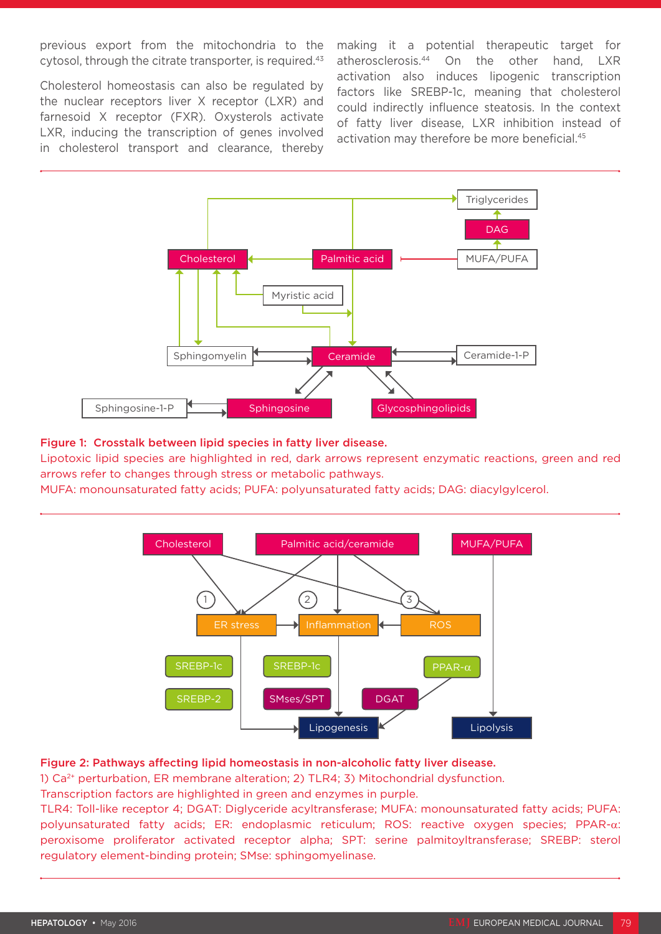previous export from the mitochondria to the cytosol, through the citrate transporter, is required.<sup>43</sup>

Cholesterol homeostasis can also be regulated by the nuclear receptors liver X receptor (LXR) and farnesoid X receptor (FXR). Oxysterols activate LXR, inducing the transcription of genes involved in cholesterol transport and clearance, thereby making it a potential therapeutic target for atherosclerosis.44 On the other hand, LXR activation also induces lipogenic transcription factors like SREBP-1c, meaning that cholesterol could indirectly influence steatosis. In the context of fatty liver disease, LXR inhibition instead of activation may therefore be more beneficial.<sup>45</sup>



#### Figure 1: Crosstalk between lipid species in fatty liver disease.

Lipotoxic lipid species are highlighted in red, dark arrows represent enzymatic reactions, green and red arrows refer to changes through stress or metabolic pathways.

MUFA: monounsaturated fatty acids; PUFA: polyunsaturated fatty acids; DAG: diacylgylcerol.



#### Figure 2: Pathways affecting lipid homeostasis in non-alcoholic fatty liver disease.

1) Ca2+ perturbation, ER membrane alteration; 2) TLR4; 3) Mitochondrial dysfunction.

Transcription factors are highlighted in green and enzymes in purple.

TLR4: Toll-like receptor 4; DGAT: Diglyceride acyltransferase; MUFA: monounsaturated fatty acids; PUFA: polyunsaturated fatty acids; ER: endoplasmic reticulum; ROS: reactive oxygen species; PPAR-α: peroxisome proliferator activated receptor alpha; SPT: serine palmitoyltransferase; SREBP: sterol regulatory element-binding protein; SMse: sphingomyelinase.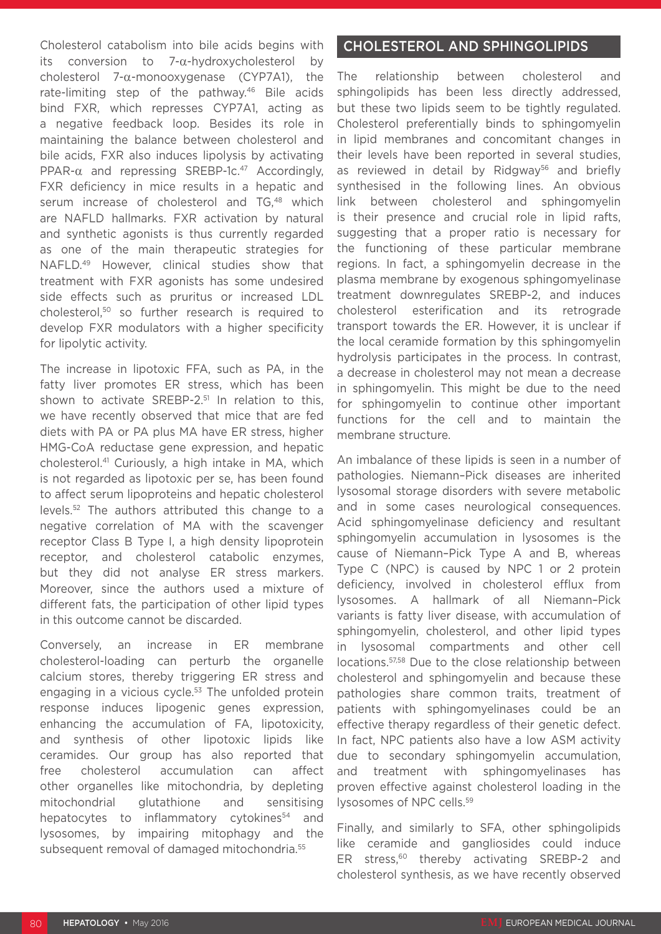Cholesterol catabolism into bile acids begins with its conversion to 7-α-hydroxycholesterol by cholesterol 7-α-monooxygenase (CYP7A1), the rate-limiting step of the pathway.46 Bile acids bind FXR, which represses CYP7A1, acting as a negative feedback loop. Besides its role in maintaining the balance between cholesterol and bile acids, FXR also induces lipolysis by activating PPAR- $\alpha$  and repressing SREBP-1c.<sup>47</sup> Accordingly, FXR deficiency in mice results in a hepatic and serum increase of cholesterol and TG.<sup>48</sup> which are NAFLD hallmarks. FXR activation by natural and synthetic agonists is thus currently regarded as one of the main therapeutic strategies for NAFLD.49 However, clinical studies show that treatment with FXR agonists has some undesired side effects such as pruritus or increased LDL cholesterol,50 so further research is required to develop FXR modulators with a higher specificity for lipolytic activity.

The increase in lipotoxic FFA, such as PA, in the fatty liver promotes ER stress, which has been shown to activate SREBP-2.<sup>51</sup> In relation to this, we have recently observed that mice that are fed diets with PA or PA plus MA have ER stress, higher HMG-CoA reductase gene expression, and hepatic cholesterol.41 Curiously, a high intake in MA, which is not regarded as lipotoxic per se, has been found to affect serum lipoproteins and hepatic cholesterol levels.52 The authors attributed this change to a negative correlation of MA with the scavenger receptor Class B Type I, a high density lipoprotein receptor, and cholesterol catabolic enzymes, but they did not analyse ER stress markers. Moreover, since the authors used a mixture of different fats, the participation of other lipid types in this outcome cannot be discarded.

Conversely, an increase in ER membrane cholesterol-loading can perturb the organelle calcium stores, thereby triggering ER stress and engaging in a vicious cycle.<sup>53</sup> The unfolded protein response induces lipogenic genes expression, enhancing the accumulation of FA, lipotoxicity, and synthesis of other lipotoxic lipids like ceramides. Our group has also reported that free cholesterol accumulation can affect other organelles like mitochondria, by depleting mitochondrial glutathione and sensitising hepatocytes to inflammatory cytokines<sup>54</sup> and lysosomes, by impairing mitophagy and the subsequent removal of damaged mitochondria.55

# CHOLESTEROL AND SPHINGOLIPIDS

The relationship between cholesterol and sphingolipids has been less directly addressed, but these two lipids seem to be tightly regulated. Cholesterol preferentially binds to sphingomyelin in lipid membranes and concomitant changes in their levels have been reported in several studies, as reviewed in detail by Ridgway<sup>56</sup> and briefly synthesised in the following lines. An obvious link between cholesterol and sphingomyelin is their presence and crucial role in lipid rafts, suggesting that a proper ratio is necessary for the functioning of these particular membrane regions. In fact, a sphingomyelin decrease in the plasma membrane by exogenous sphingomyelinase treatment downregulates SREBP-2, and induces cholesterol esterification and its retrograde transport towards the ER. However, it is unclear if the local ceramide formation by this sphingomyelin hydrolysis participates in the process. In contrast, a decrease in cholesterol may not mean a decrease in sphingomyelin. This might be due to the need for sphingomyelin to continue other important functions for the cell and to maintain the membrane structure.

An imbalance of these lipids is seen in a number of pathologies. Niemann–Pick diseases are inherited lysosomal storage disorders with severe metabolic and in some cases neurological consequences. Acid sphingomyelinase deficiency and resultant sphingomyelin accumulation in lysosomes is the cause of Niemann–Pick Type A and B, whereas Type C (NPC) is caused by NPC 1 or 2 protein deficiency, involved in cholesterol efflux from lysosomes. A hallmark of all Niemann–Pick variants is fatty liver disease, with accumulation of sphingomyelin, cholesterol, and other lipid types in lysosomal compartments and other cell locations.57,58 Due to the close relationship between cholesterol and sphingomyelin and because these pathologies share common traits, treatment of patients with sphingomyelinases could be an effective therapy regardless of their genetic defect. In fact, NPC patients also have a low ASM activity due to secondary sphingomyelin accumulation, and treatment with sphingomyelinases has proven effective against cholesterol loading in the lysosomes of NPC cells.59

Finally, and similarly to SFA, other sphingolipids like ceramide and gangliosides could induce ER stress,<sup>60</sup> thereby activating SREBP-2 and cholesterol synthesis, as we have recently observed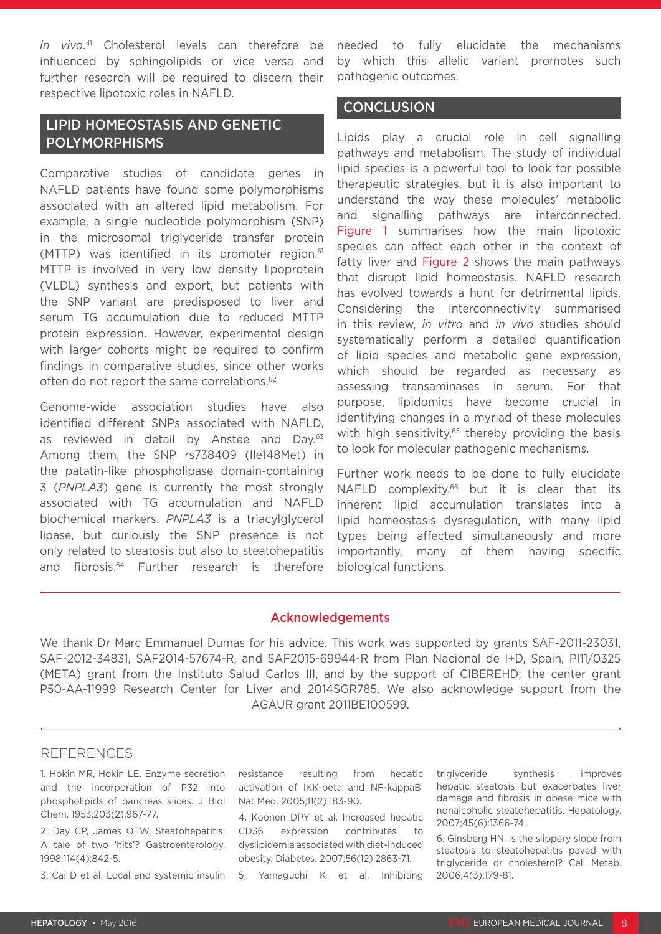*in vivo*. 41 Cholesterol levels can therefore be influenced by sphingolipids or vice versa and further research will be required to discern their respective lipotoxic roles in NAFLD.

# LIPID HOMEOSTASIS AND GENETIC POLYMORPHISMS

Comparative studies of candidate genes in NAFLD patients have found some polymorphisms associated with an altered lipid metabolism. For example, a single nucleotide polymorphism (SNP) in the microsomal triglyceride transfer protein (MTTP) was identified in its promoter region. $61$ MTTP is involved in very low density lipoprotein (VLDL) synthesis and export, but patients with the SNP variant are predisposed to liver and serum TG accumulation due to reduced MTTP protein expression. However, experimental design with larger cohorts might be required to confirm findings in comparative studies, since other works often do not report the same correlations.<sup>62</sup>

Genome-wide association studies have also identified different SNPs associated with NAFLD, as reviewed in detail by Anstee and Day.<sup>63</sup> Among them, the SNP rs738409 (Ile148Met) in the patatin-like phospholipase domain-containing 3 (*PNPLA3*) gene is currently the most strongly associated with TG accumulation and NAFLD biochemical markers. *PNPLA3* is a triacylglycerol lipase, but curiously the SNP presence is not only related to steatosis but also to steatohepatitis and fibrosis.<sup>64</sup> Further research is therefore

needed to fully elucidate the mechanisms by which this allelic variant promotes such pathogenic outcomes.

## **CONCLUSION**

Lipids play a crucial role in cell signalling pathways and metabolism. The study of individual lipid species is a powerful tool to look for possible therapeutic strategies, but it is also important to understand the way these molecules' metabolic and signalling pathways are interconnected. Figure 1 summarises how the main lipotoxic species can affect each other in the context of fatty liver and Figure 2 shows the main pathways that disrupt lipid homeostasis. NAFLD research has evolved towards a hunt for detrimental lipids. Considering the interconnectivity summarised in this review, *in vitro* and *in vivo* studies should systematically perform a detailed quantification of lipid species and metabolic gene expression, which should be regarded as necessary as assessing transaminases in serum. For that purpose, lipidomics have become crucial in identifying changes in a myriad of these molecules with high sensitivity,<sup>65</sup> thereby providing the basis to look for molecular pathogenic mechanisms.

Further work needs to be done to fully elucidate NAFLD complexity,<sup>66</sup> but it is clear that its inherent lipid accumulation translates into a lipid homeostasis dysregulation, with many lipid types being affected simultaneously and more importantly, many of them having specific biological functions.

### Acknowledgements

We thank Dr Marc Emmanuel Dumas for his advice. This work was supported by grants SAF-2011-23031, SAF-2012-34831, SAF2014-57674-R, and SAF2015-69944-R from Plan Nacional de I+D, Spain, PI11/0325 (META) grant from the Instituto Salud Carlos III, and by the support of CIBEREHD; the center grant P50-AA-11999 Research Center for Liver and 2014SGR785. We also acknowledge support from the AGAUR grant 2011BE100599.

#### **REFERENCES**

1. Hokin MR, Hokin LE. Enzyme secretion and the incorporation of P32 into phospholipids of pancreas slices. J Biol Chem. 1953;203(2):967-77.

2. Day CP, James OFW. Steatohepatitis: A tale of two 'hits'? Gastroenterology. 1998;114(4):842-5.

3. Cai D et al. Local and systemic insulin

resistance resulting from hepatic activation of IKK-beta and NF-kappaB. Nat Med. 2005;11(2):183-90.

4. Koonen DPY et al. Increased hepatic CD36 expression contributes to dyslipidemia associated with diet-induced obesity. Diabetes. 2007;56(12):2863-71.

5. Yamaguchi K et al. Inhibiting

triglyceride synthesis improves hepatic steatosis but exacerbates liver damage and fibrosis in obese mice with nonalcoholic steatohepatitis. Hepatology. 2007;45(6):1366-74.

6. Ginsberg HN. Is the slippery slope from steatosis to steatohepatitis paved with triglyceride or cholesterol? Cell Metab. 2006;4(3):179-81.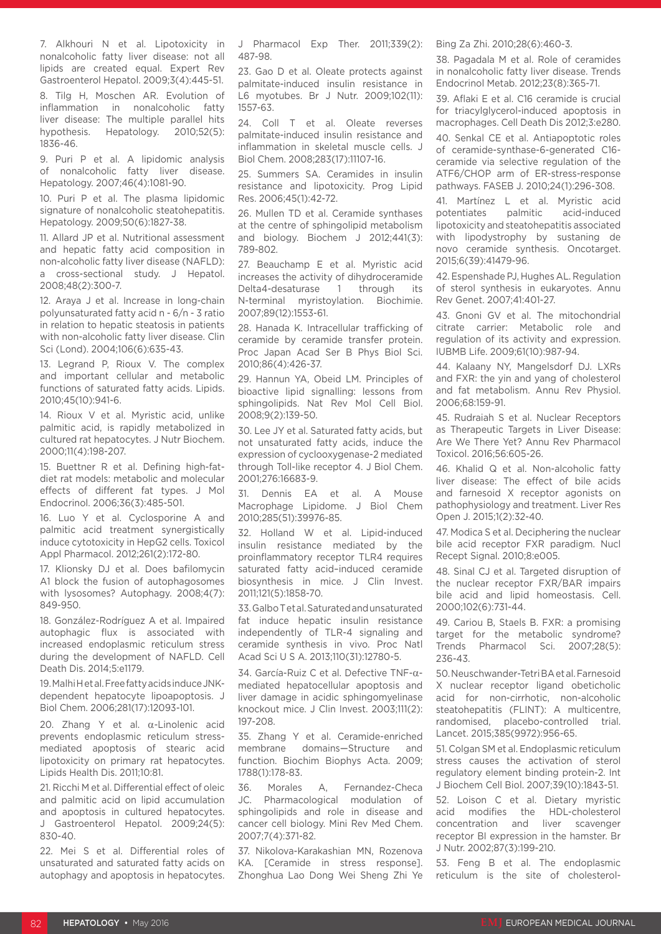7. Alkhouri N et al. Lipotoxicity in nonalcoholic fatty liver disease: not all lipids are created equal. Expert Rev Gastroenterol Hepatol. 2009;3(4):445-51.

8. Tilg H, Moschen AR. Evolution of inflammation in nonalcoholic fatty liver disease: The multiple parallel hits hypothesis. Hepatology. 2010;52(5): 1836-46.

9. Puri P et al. A lipidomic analysis of nonalcoholic fatty liver disease. Hepatology. 2007;46(4):1081-90.

10. Puri P et al. The plasma lipidomic signature of nonalcoholic steatohepatitis. Hepatology. 2009;50(6):1827-38.

11. Allard JP et al. Nutritional assessment and hepatic fatty acid composition in non-alcoholic fatty liver disease (NAFLD): a cross-sectional study. J Hepatol. 2008;48(2):300-7.

12. Araya J et al. Increase in long-chain polyunsaturated fatty acid n - 6/n - 3 ratio in relation to hepatic steatosis in patients with non-alcoholic fatty liver disease. Clin Sci (Lond). 2004;106(6):635-43.

13. Legrand P, Rioux V. The complex and important cellular and metabolic functions of saturated fatty acids. Lipids. 2010;45(10):941-6.

14. Rioux V et al. Myristic acid, unlike palmitic acid, is rapidly metabolized in cultured rat hepatocytes. J Nutr Biochem. 2000;11(4):198-207.

15. Buettner R et al. Defining high-fatdiet rat models: metabolic and molecular effects of different fat types. J Mol Endocrinol. 2006;36(3):485-501.

16. Luo Y et al. Cyclosporine A and palmitic acid treatment synergistically induce cytotoxicity in HepG2 cells. Toxicol Appl Pharmacol. 2012;261(2):172-80.

17. Klionsky DJ et al. Does bafilomycin A1 block the fusion of autophagosomes with lysosomes? Autophagy. 2008;4(7): 849-950.

18. González-Rodríguez A et al. Impaired autophagic flux is associated with increased endoplasmic reticulum stress during the development of NAFLD. Cell Death Dis. 2014;5:e1179.

19. Malhi H et al. Free fatty acids induce JNKdependent hepatocyte lipoapoptosis. J Biol Chem. 2006;281(17):12093-101.

20. Zhang Y et al. α-Linolenic acid prevents endoplasmic reticulum stressmediated apoptosis of stearic acid lipotoxicity on primary rat hepatocytes. Lipids Health Dis. 2011;10:81.

21. Ricchi M et al. Differential effect of oleic and palmitic acid on lipid accumulation and apoptosis in cultured hepatocytes. J Gastroenterol Hepatol. 2009;24(5): 830-40.

22. Mei S et al. Differential roles of unsaturated and saturated fatty acids on autophagy and apoptosis in hepatocytes.

J Pharmacol Exp Ther. 2011;339(2): 487-98.

23. Gao D et al. Oleate protects against palmitate-induced insulin resistance in L6 myotubes. Br J Nutr. 2009;102(11): 1557-63.

24. Coll T et al. Oleate reverses palmitate-induced insulin resistance and inflammation in skeletal muscle cells. J Biol Chem. 2008;283(17):11107-16.

25. Summers SA. Ceramides in insulin resistance and lipotoxicity. Prog Lipid Res. 2006;45(1):42-72.

26. Mullen TD et al. Ceramide synthases at the centre of sphingolipid metabolism and biology. Biochem J 2012;441(3): 789-802.

27. Beauchamp E et al. Myristic acid increases the activity of dihydroceramide<br>Delta4-desaturase 1 through its Delta4-desaturase 1 through its N-terminal myristoylation. Biochimie. 2007;89(12):1553-61.

28. Hanada K. Intracellular trafficking of ceramide by ceramide transfer protein. Proc Japan Acad Ser B Phys Biol Sci. 2010;86(4):426-37.

29. Hannun YA, Obeid LM. Principles of bioactive lipid signalling: lessons from sphingolipids. Nat Rev Mol Cell Biol. 2008;9(2):139-50.

30. Lee JY et al. Saturated fatty acids, but not unsaturated fatty acids, induce the expression of cyclooxygenase-2 mediated through Toll-like receptor 4. J Biol Chem. 2001;276:16683-9.

31. Dennis EA et al. A Mouse Macrophage Lipidome. J Biol Chem 2010;285(51):39976-85.

32. Holland W et al. Lipid-induced insulin resistance mediated by the proinflammatory receptor TLR4 requires saturated fatty acid–induced ceramide biosynthesis in mice. J Clin Invest. 2011;121(5):1858-70.

33. Galbo T et al. Saturated and unsaturated fat induce hepatic insulin resistance independently of TLR-4 signaling and ceramide synthesis in vivo. Proc Natl Acad Sci U S A. 2013;110(31):12780-5.

34. García-Ruiz C et al. Defective TNF-αmediated hepatocellular apoptosis and liver damage in acidic sphingomyelinase knockout mice. J Clin Invest. 2003;111(2): 197-208.

35. Zhang Y et al. Ceramide-enriched membrane domains—Structure and function. Biochim Biophys Acta. 2009; 1788(1):178-83.

36. Morales A, Fernandez-Checa JC. Pharmacological modulation of sphingolipids and role in disease and cancer cell biology. Mini Rev Med Chem. 2007;7(4):371-82.

37. Nikolova-Karakashian MN, Rozenova KA. [Ceramide in stress response]. Zhonghua Lao Dong Wei Sheng Zhi Ye Bing Za Zhi. 2010;28(6):460-3.

38. Pagadala M et al. Role of ceramides in nonalcoholic fatty liver disease. Trends Endocrinol Metab. 2012;23(8):365-71.

39. Aflaki E et al. C16 ceramide is crucial for triacylglycerol-induced apoptosis in macrophages. Cell Death Dis 2012;3:e280.

40. Senkal CE et al. Antiapoptotic roles of ceramide-synthase-6-generated C16 ceramide via selective regulation of the ATF6/CHOP arm of ER-stress-response pathways. FASEB J. 2010;24(1):296-308.

41. Martínez L et al. Myristic acid<br>potentiates palmitic acid-induced potentiates lipotoxicity and steatohepatitis associated with lipodystrophy by sustaning de novo ceramide synthesis. Oncotarget. 2015;6(39):41479-96.

42. Espenshade PJ, Hughes AL. Regulation of sterol synthesis in eukaryotes. Annu Rev Genet. 2007;41:401-27.

43. Gnoni GV et al. The mitochondrial citrate carrier: Metabolic role and regulation of its activity and expression. IUBMB Life. 2009;61(10):987-94.

44. Kalaany NY, Mangelsdorf DJ. LXRs and FXR: the yin and yang of cholesterol and fat metabolism. Annu Rev Physiol. 2006;68:159-91.

45. Rudraiah S et al. Nuclear Receptors as Therapeutic Targets in Liver Disease: Are We There Yet? Annu Rev Pharmacol Toxicol. 2016;56:605-26.

46. Khalid Q et al. Non-alcoholic fatty liver disease: The effect of bile acids and farnesoid X receptor agonists on pathophysiology and treatment. Liver Res Open J. 2015;1(2):32-40.

47. Modica S et al. Deciphering the nuclear bile acid receptor FXR paradigm. Nucl Recept Signal. 2010;8:e005.

48. Sinal CJ et al. Targeted disruption of the nuclear receptor FXR/BAR impairs bile acid and lipid homeostasis. Cell. 2000;102(6):731-44.

49. Cariou B, Staels B. FXR: a promising target for the metabolic syndrome? Trends Pharmacol Sci. 2007;28(5):  $236 - 43$ 

50. Neuschwander-Tetri BA et al. Farnesoid X nuclear receptor ligand obeticholic acid for non-cirrhotic, non-alcoholic steatohepatitis (FLINT): A multicentre, randomised, placebo-controlled trial. Lancet. 2015;385(9972):956-65.

51. Colgan SM et al. Endoplasmic reticulum stress causes the activation of sterol regulatory element binding protein-2. Int J Biochem Cell Biol. 2007;39(10):1843-51.

52. Loison C et al. Dietary myristic acid modifies the HDL-cholesterol concentration and liver scavenger receptor BI expression in the hamster. Br J Nutr. 2002;87(3):199-210.

53. Feng B et al. The endoplasmic reticulum is the site of cholesterol